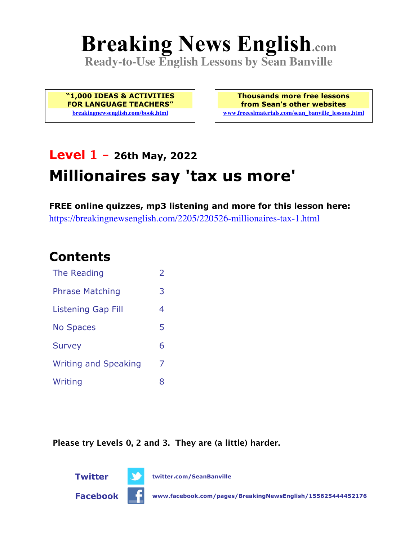# **Breaking News English.com**

**Ready-to-Use English Lessons by Sean Banville**

**"1,000 IDEAS & ACTIVITIES FOR LANGUAGE TEACHERS" breakingnewsenglish.com/book.html**

**Thousands more free lessons from Sean's other websites www.freeeslmaterials.com/sean\_banville\_lessons.html**

# **Level 1 - 26th May, 2022 Millionaires say 'tax us more'**

**FREE online quizzes, mp3 listening and more for this lesson here:** https://breakingnewsenglish.com/2205/220526-millionaires-tax-1.html

## **Contents**

| The Reading                 | $\overline{\phantom{a}}$ |
|-----------------------------|--------------------------|
| <b>Phrase Matching</b>      | З                        |
| <b>Listening Gap Fill</b>   | 4                        |
| <b>No Spaces</b>            | 5                        |
| <b>Survey</b>               | 6                        |
| <b>Writing and Speaking</b> | 7                        |
| Writing                     | 8                        |

**Please try Levels 0, 2 and 3. They are (a little) harder.**



**Twitter twitter.com/SeanBanville**



**Facebook www.facebook.com/pages/BreakingNewsEnglish/155625444452176**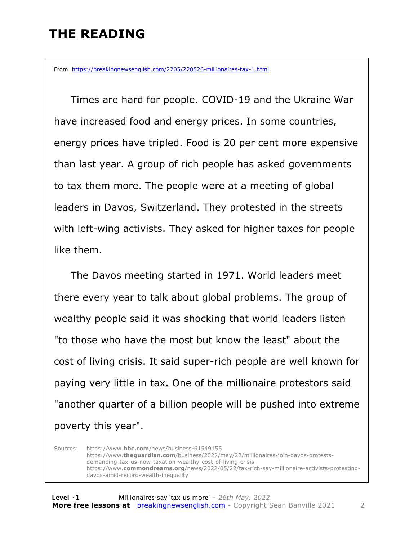#### **THE READING**

From https://breakingnewsenglish.com/2205/220526-millionaires-tax-1.html

 Times are hard for people. COVID-19 and the Ukraine War have increased food and energy prices. In some countries, energy prices have tripled. Food is 20 per cent more expensive than last year. A group of rich people has asked governments to tax them more. The people were at a meeting of global leaders in Davos, Switzerland. They protested in the streets with left-wing activists. They asked for higher taxes for people like them.

The Davos meeting started in 1971. World leaders meet there every year to talk about global problems. The group of wealthy people said it was shocking that world leaders listen "to those who have the most but know the least" about the cost of living crisis. It said super-rich people are well known for paying very little in tax. One of the millionaire protestors said "another quarter of a billion people will be pushed into extreme poverty this year".

Sources: https://www.**bbc.com**/news/business-61549155 https://www.**theguardian.com**/business/2022/may/22/millionaires-join-davos-protestsdemanding-tax-us-now-taxation-wealthy-cost-of-living-crisis https://www.**commondreams.org**/news/2022/05/22/tax-rich-say-millionaire-activists-protestingdavos-amid-record-wealth-inequality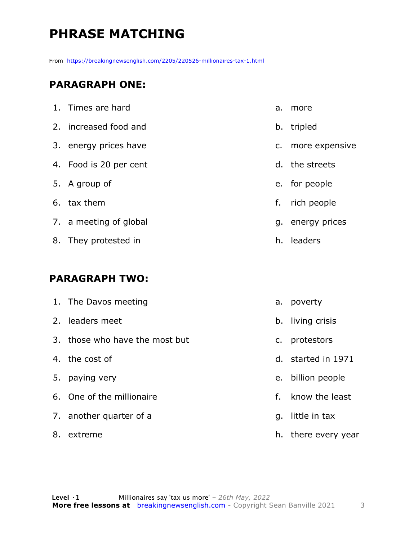# **PHRASE MATCHING**

From https://breakingnewsenglish.com/2205/220526-millionaires-tax-1.html

#### **PARAGRAPH ONE:**

| 1. Times are hard      | a. | more              |
|------------------------|----|-------------------|
| 2. increased food and  |    | b. tripled        |
| 3. energy prices have  |    | c. more expensive |
| 4. Food is 20 per cent |    | d. the streets    |
| 5. A group of          |    | e. for people     |
| 6. tax them            | f. | rich people       |
| 7. a meeting of global |    | g. energy prices  |
| 8. They protested in   |    | h. leaders        |
|                        |    |                   |

#### **PARAGRAPH TWO:**

|    | 1. The Davos meeting           | а. | poverty            |
|----|--------------------------------|----|--------------------|
|    | 2. leaders meet                |    | b. living crisis   |
|    | 3. those who have the most but | C. | protestors         |
|    | 4. the cost of                 |    | d. started in 1971 |
| 5. | paying very                    |    | e. billion people  |
|    | 6. One of the millionaire      | f. | know the least     |
|    | 7. another quarter of a        | q. | little in tax      |
| 8. | extreme                        | h. | there every year   |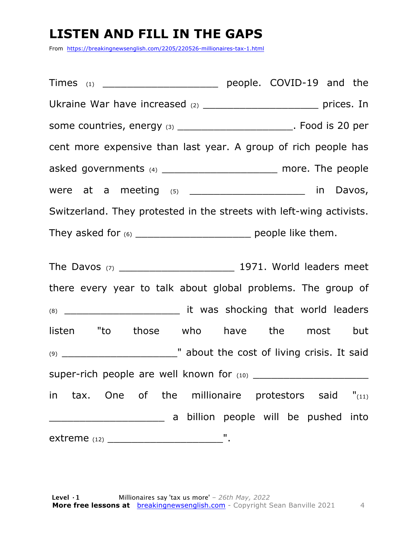#### **LISTEN AND FILL IN THE GAPS**

From https://breakingnewsenglish.com/2205/220526-millionaires-tax-1.html

Times (1) Times (1) **Times** (1) **Example people. COVID-19 and the** Ukraine War have increased (2) \_\_\_\_\_\_\_\_\_\_\_\_\_\_\_\_\_\_\_\_\_\_\_\_\_\_ prices. In some countries, energy (3) \_\_\_\_\_\_\_\_\_\_\_\_\_\_\_\_\_\_\_\_\_\_\_. Food is 20 per cent more expensive than last year. A group of rich people has asked governments (4) **asked** governments (4) were at a meeting  $(5)$  \_\_\_\_\_\_\_\_\_\_\_\_\_\_\_\_\_\_\_\_\_ in Davos, Switzerland. They protested in the streets with left-wing activists. They asked for (6) \_\_\_\_\_\_\_\_\_\_\_\_\_\_\_\_\_\_\_ people like them. The Davos (7) \_\_\_\_\_\_\_\_\_\_\_\_\_\_\_\_\_\_\_ 1971. World leaders meet

there every year to talk about global problems. The group of (8) \_\_\_\_\_\_\_\_\_\_\_\_\_\_\_\_\_\_\_ it was shocking that world leaders listen "to those who have the most but (9) \_\_\_\_\_\_\_\_\_\_\_\_\_\_\_\_\_\_\_" about the cost of living crisis. It said super-rich people are well known for (10) in tax. One of the millionaire protestors said  $"$ <sub>(11)</sub> **EXECUTE:** A billion people will be pushed into extreme (12) \_\_\_\_\_\_\_\_\_\_\_\_\_\_\_\_\_\_\_".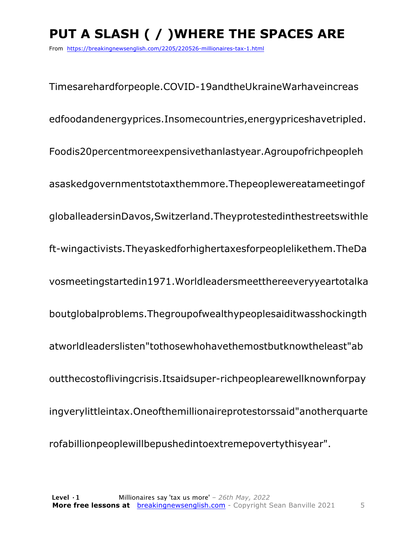# **PUT A SLASH ( / )WHERE THE SPACES ARE**

From https://breakingnewsenglish.com/2205/220526-millionaires-tax-1.html

Timesarehardforpeople.COVID-19andtheUkraineWarhaveincreas edfoodandenergyprices.Insomecountries,energypriceshavetripled. Foodis20percentmoreexpensivethanlastyear.Agroupofrichpeopleh asaskedgovernmentstotaxthemmore.Thepeoplewereatameetingof globalleadersinDavos,Switzerland.Theyprotestedinthestreetswithle ft-wingactivists.Theyaskedforhighertaxesforpeoplelikethem.TheDa vosmeetingstartedin1971.Worldleadersmeetthereeveryyeartotalka boutglobalproblems.Thegroupofwealthypeoplesaiditwasshockingth atworldleaderslisten"tothosewhohavethemostbutknowtheleast"ab outthecostoflivingcrisis.Itsaidsuper-richpeoplearewellknownforpay ingverylittleintax.Oneofthemillionaireprotestorssaid"anotherquarte rofabillionpeoplewillbepushedintoextremepovertythisyear".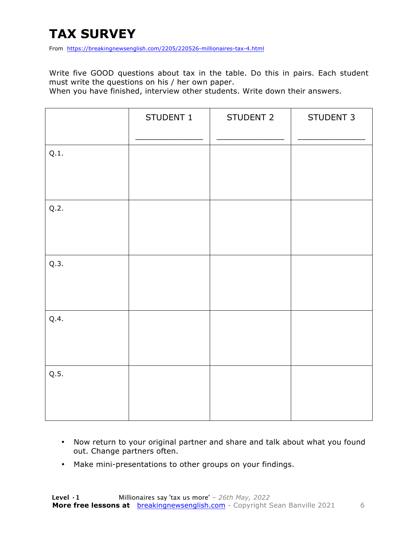# **TAX SURVEY**

From https://breakingnewsenglish.com/2205/220526-millionaires-tax-4.html

Write five GOOD questions about tax in the table. Do this in pairs. Each student must write the questions on his / her own paper.

When you have finished, interview other students. Write down their answers.

|      | STUDENT 1 | STUDENT 2 | STUDENT 3 |
|------|-----------|-----------|-----------|
| Q.1. |           |           |           |
| Q.2. |           |           |           |
| Q.3. |           |           |           |
| Q.4. |           |           |           |
| Q.5. |           |           |           |

- Now return to your original partner and share and talk about what you found out. Change partners often.
- Make mini-presentations to other groups on your findings.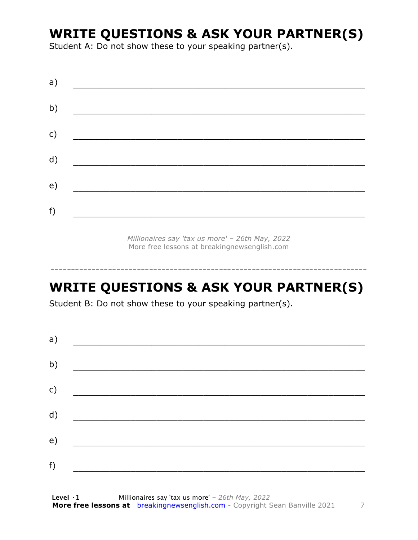#### **WRITE QUESTIONS & ASK YOUR PARTNER(S)**

Student A: Do not show these to your speaking partner(s).

| a)            |  |  |
|---------------|--|--|
| b)            |  |  |
| $\mathsf{c})$ |  |  |
| d)            |  |  |
| e)            |  |  |
| f)            |  |  |
|               |  |  |

*Millionaires say 'tax us more' – 26th May, 2022* More free lessons at breakingnewsenglish.com

-----------------------------------------------------------------------------

#### **WRITE QUESTIONS & ASK YOUR PARTNER(S)**

Student B: Do not show these to your speaking partner(s).

| a) |  |  |
|----|--|--|
| b) |  |  |
| c) |  |  |
| d) |  |  |
| e) |  |  |
| f) |  |  |
|    |  |  |